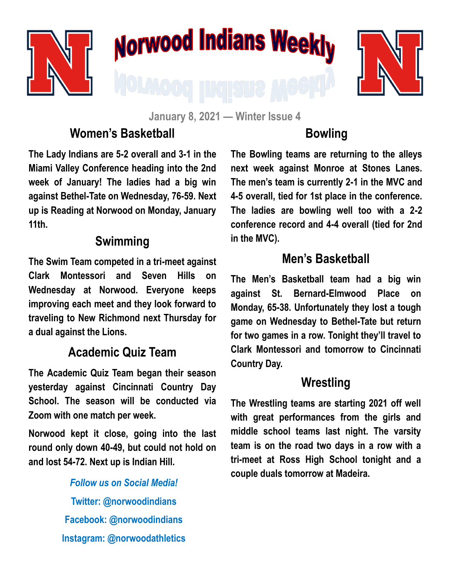

# Norwood Indians Weekly



**January 8, 2021 — Winter Issue 4**

# **Women's Basketball**

**The Lady Indians are 5-2 overall and 3-1 in the Miami Valley Conference heading into the 2nd week of January! The ladies had a big win against Bethel-Tate on Wednesday, 76-59. Next up is Reading at Norwood on Monday, January 11th.**

## **Swimming**

**The Swim Team competed in a tri-meet against Clark Montessori and Seven Hills on Wednesday at Norwood. Everyone keeps improving each meet and they look forward to traveling to New Richmond next Thursday for a dual against the Lions.**

## **Academic Quiz Team**

**The Academic Quiz Team began their season yesterday against Cincinnati Country Day School. The season will be conducted via Zoom with one match per week.** 

**Norwood kept it close, going into the last round only down 40-49, but could not hold on and lost 54-72. Next up is Indian Hill.**

> *Follow us on Social Media!* **Twitter: @norwoodindians Facebook: @norwoodindians Instagram: @norwoodathletics**

# **Bowling**

**The Bowling teams are returning to the alleys next week against Monroe at Stones Lanes. The men's team is currently 2-1 in the MVC and 4-5 overall, tied for 1st place in the conference. The ladies are bowling well too with a 2-2 conference record and 4-4 overall (tied for 2nd in the MVC).** 

## **Men's Basketball**

**The Men's Basketball team had a big win against St. Bernard-Elmwood Place on Monday, 65-38. Unfortunately they lost a tough game on Wednesday to Bethel-Tate but return for two games in a row. Tonight they'll travel to Clark Montessori and tomorrow to Cincinnati Country Day.** 

#### **Wrestling**

**The Wrestling teams are starting 2021 off well with great performances from the girls and middle school teams last night. The varsity team is on the road two days in a row with a tri-meet at Ross High School tonight and a couple duals tomorrow at Madeira.**